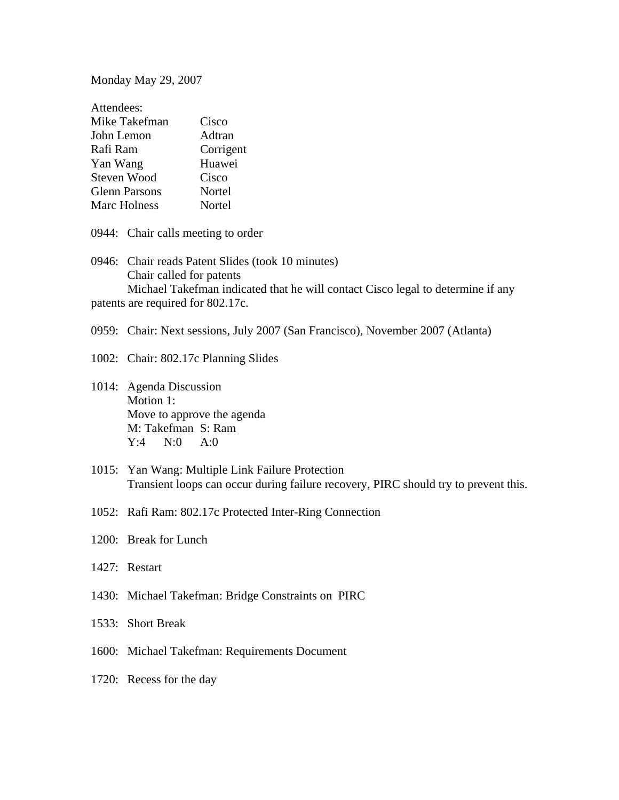Monday May 29, 2007

| Attendees:           |           |
|----------------------|-----------|
| Mike Takefman        | Cisco     |
| John Lemon           | Adtran    |
| Rafi Ram             | Corrigent |
| Yan Wang             | Huawei    |
| <b>Steven Wood</b>   | Cisco     |
| <b>Glenn Parsons</b> | Nortel    |
| <b>Marc Holness</b>  | Nortel    |

0944: Chair calls meeting to order

0946: Chair reads Patent Slides (took 10 minutes) Chair called for patents Michael Takefman indicated that he will contact Cisco legal to determine if any patents are required for 802.17c.

0959: Chair: Next sessions, July 2007 (San Francisco), November 2007 (Atlanta)

1002: Chair: 802.17c Planning Slides

1014: Agenda Discussion Motion 1: Move to approve the agenda M: Takefman S: Ram Y:4 N:0 A:0

1015: Yan Wang: Multiple Link Failure Protection Transient loops can occur during failure recovery, PIRC should try to prevent this.

1052: Rafi Ram: 802.17c Protected Inter-Ring Connection

1200: Break for Lunch

1427: Restart

1430: Michael Takefman: Bridge Constraints on PIRC

1533: Short Break

1600: Michael Takefman: Requirements Document

1720: Recess for the day